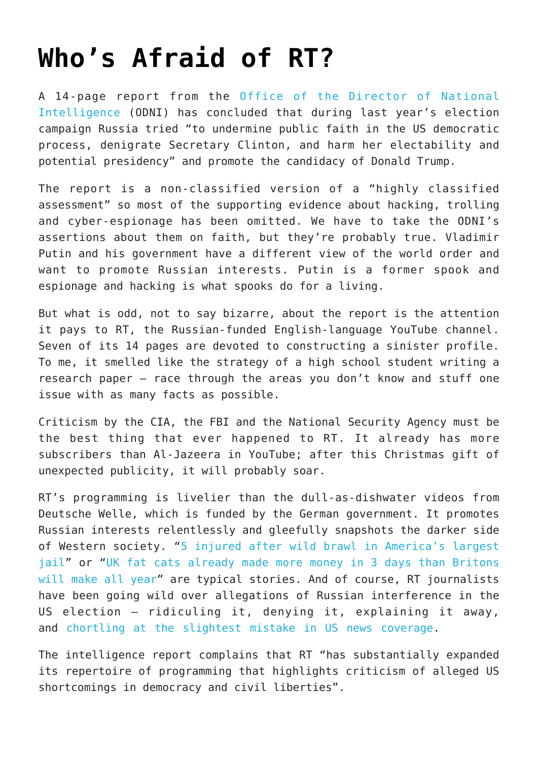## **[Who's Afraid of RT?](https://intellectualtakeout.org/2017/01/whos-afraid-of-rt/)**

A 14-page report from the [Office of the Director of National](https://www.dni.gov/files/documents/ICA_2017_01.pdf) [Intelligence](https://www.dni.gov/files/documents/ICA_2017_01.pdf) (ODNI) has concluded that during last year's election campaign Russia tried "to undermine public faith in the US democratic process, denigrate Secretary Clinton, and harm her electability and potential presidency" and promote the candidacy of Donald Trump.

The report is a non-classified version of a "highly classified assessment" so most of the supporting evidence about hacking, trolling and cyber-espionage has been omitted. We have to take the ODNI's assertions about them on faith, but they're probably true. Vladimir Putin and his government have a different view of the world order and want to promote Russian interests. Putin is a former spook and espionage and hacking is what spooks do for a living.

But what is odd, not to say bizarre, about the report is the attention it pays to RT, the Russian-funded English-language YouTube channel. Seven of its 14 pages are devoted to constructing a sinister profile. To me, it smelled like the strategy of a high school student writing a research paper – race through the areas you don't know and stuff one issue with as many facts as possible.

Criticism by the CIA, the FBI and the National Security Agency must be the best thing that ever happened to RT. It already has more subscribers than Al-Jazeera in YouTube; after this Christmas gift of unexpected publicity, it will probably soar.

RT's programming is livelier than the dull-as-dishwater videos from Deutsche Welle, which is funded by the German government. It promotes Russian interests relentlessly and gleefully snapshots the darker side of Western society. "[5 injured after wild brawl in America's largest](https://youtu.be/fOy_UVveteY) [jail](https://youtu.be/fOy_UVveteY)" or "[UK fat cats already made more money in 3 days than Britons](https://youtu.be/gXRHWGefNy8) [will make all year"](https://youtu.be/gXRHWGefNy8) are typical stories. And of course, RT journalists have been going wild over allegations of Russian interference in the US election – ridiculing it, denying it, explaining it away, and [chortling at the slightest mistake in US news coverage.](https://youtu.be/nUz0NwFjGwE)

The intelligence report complains that RT "has substantially expanded its repertoire of programming that highlights criticism of alleged US shortcomings in democracy and civil liberties".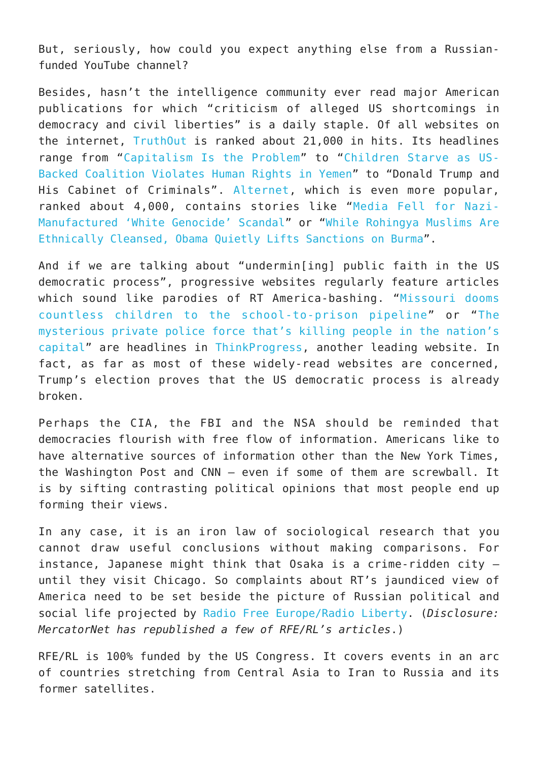But, seriously, how could you expect anything else from a Russianfunded YouTube channel?

Besides, hasn't the intelligence community ever read major American publications for which "criticism of alleged US shortcomings in democracy and civil liberties" is a daily staple. Of all websites on the internet, [TruthOut](http://www.truth-out.org/) is ranked about 21,000 in hits. Its headlines range from "[Capitalism Is the Problem](http://www.truth-out.org/news/item/39011-capitalism-is-the-problem)" to "[Children Starve as US-](http://www.truth-out.org/opinion/item/39012-children-starve-as-us-backed-coalition-violates-human-rights-in-yemen)[Backed Coalition Violates Human Rights in Yemen"](http://www.truth-out.org/opinion/item/39012-children-starve-as-us-backed-coalition-violates-human-rights-in-yemen) to "Donald Trump and His Cabinet of Criminals". [Alternet](http://www.alternet.org/), which is even more popular, ranked about 4,000, contains stories like "[Media Fell for Nazi-](http://www.alternet.org/media/media-fell-nazi-manufactured-white-genocide-scandal)[Manufactured 'White Genocide' Scandal"](http://www.alternet.org/media/media-fell-nazi-manufactured-white-genocide-scandal) or "[While Rohingya Muslims Are](http://www.alternet.org/grayzone-project/while-rohingya-muslims-are-ethnically-cleansed-obama-quietly-lifts-sanctions-burma) [Ethnically Cleansed, Obama Quietly Lifts Sanctions on Burma"](http://www.alternet.org/grayzone-project/while-rohingya-muslims-are-ethnically-cleansed-obama-quietly-lifts-sanctions-burma).

And if we are talking about "undermin[ing] public faith in the US democratic process", progressive websites regularly feature articles which sound like parodies of RT America-bashing. "[Missouri dooms](https://thinkprogress.org/missouri-school-felonies-d840e8ec7242#.bvm1y1a0y) [countless children to the school-to-prison pipeline"](https://thinkprogress.org/missouri-school-felonies-d840e8ec7242#.bvm1y1a0y) or "[The](https://thinkprogress.org/who-killed-alonzo-smith-5d5c128dd60#.llcw2ccao) [mysterious private police force that's killing people in the nation's](https://thinkprogress.org/who-killed-alonzo-smith-5d5c128dd60#.llcw2ccao) [capital](https://thinkprogress.org/who-killed-alonzo-smith-5d5c128dd60#.llcw2ccao)" are headlines in [ThinkProgress,](https://thinkprogress.org/) another leading website. In fact, as far as most of these widely-read websites are concerned, Trump's election proves that the US democratic process is already broken.

Perhaps the CIA, the FBI and the NSA should be reminded that democracies flourish with free flow of information. Americans like to have alternative sources of information other than the New York Times, the Washington Post and CNN – even if some of them are screwball. It is by sifting contrasting political opinions that most people end up forming their views.

In any case, it is an iron law of sociological research that you cannot draw useful conclusions without making comparisons. For instance, Japanese might think that Osaka is a crime-ridden city – until they visit Chicago. So complaints about RT's jaundiced view of America need to be set beside the picture of Russian political and social life projected by [Radio Free Europe/Radio Liberty.](http://www.rferl.org/) (*Disclosure: MercatorNet has republished a few of RFE/RL's articles*.)

RFE/RL is 100% funded by the US Congress. It covers events in an arc of countries stretching from Central Asia to Iran to Russia and its former satellites.